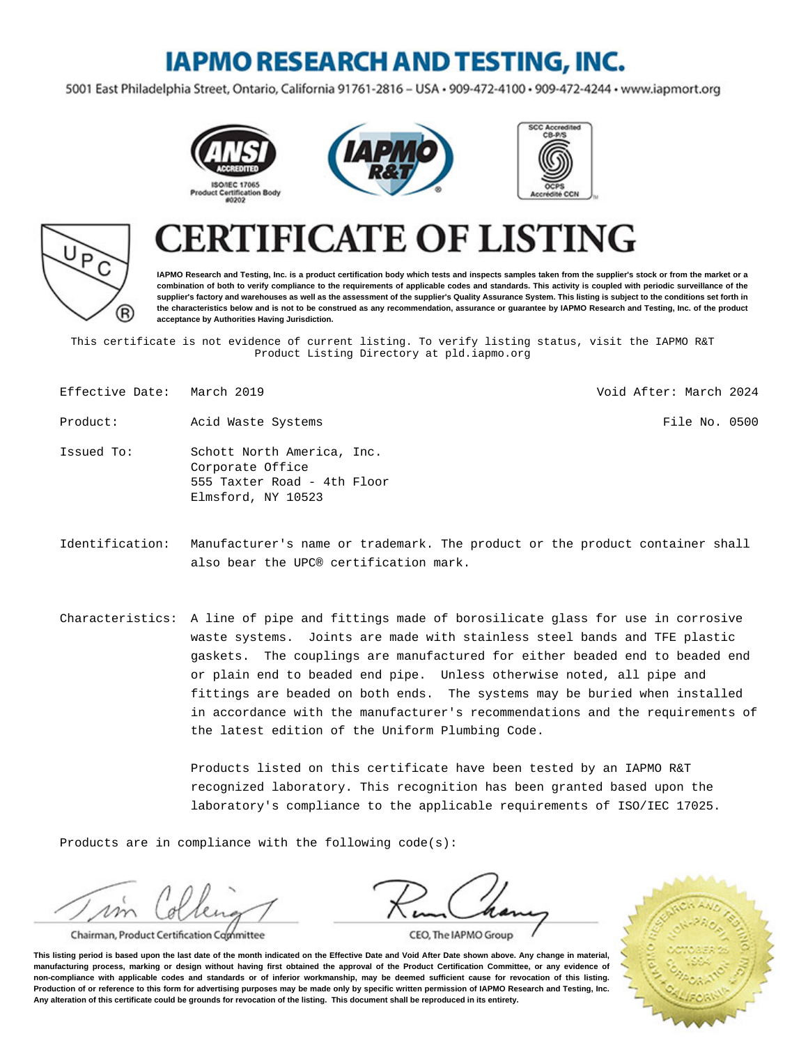## **IAPMO RESEARCH AND TESTING, INC.**

5001 East Philadelphia Street, Ontario, California 91761-2816 - USA · 909-472-4100 · 909-472-4244 · www.iapmort.org









# **CATE OF LISTING**

**IAPMO Research and Testing, Inc. is a product certification body which tests and inspects samples taken from the supplier's stock or from the market or a combination of both to verify compliance to the requirements of applicable codes and standards. This activity is coupled with periodic surveillance of the supplier's factory and warehouses as well as the assessment of the supplier's Quality Assurance System. This listing is subject to the conditions set forth in the characteristics below and is not to be construed as any recommendation, assurance or guarantee by IAPMO Research and Testing, Inc. of the product acceptance by Authorities Having Jurisdiction.**

This certificate is not evidence of current listing. To verify listing status, visit the IAPMO R&T Product Listing Directory at pld.iapmo.org

| Effective Date: March 2019 |                                                                                                     | Void After: March 2024                                                       |
|----------------------------|-----------------------------------------------------------------------------------------------------|------------------------------------------------------------------------------|
| Product:                   | Acid Waste Systems                                                                                  | File No. 0500                                                                |
| Issued To:                 | Schott North America, Inc.<br>Corporate Office<br>555 Taxter Road - 4th Floor<br>Elmsford, NY 10523 |                                                                              |
| Identification:            |                                                                                                     | Manufacturer's name or trademark. The product or the product container shall |

- also bear the UPC® certification mark.
- Characteristics: A line of pipe and fittings made of borosilicate glass for use in corrosive waste systems. Joints are made with stainless steel bands and TFE plastic gaskets. The couplings are manufactured for either beaded end to beaded end or plain end to beaded end pipe. Unless otherwise noted, all pipe and fittings are beaded on both ends. The systems may be buried when installed in accordance with the manufacturer's recommendations and the requirements of the latest edition of the Uniform Plumbing Code.

Products listed on this certificate have been tested by an IAPMO R&T recognized laboratory. This recognition has been granted based upon the laboratory's compliance to the applicable requirements of ISO/IEC 17025.

Products are in compliance with the following code(s):

Chairman, Product Certification Committee



CEO, The IAPMO Group

**This listing period is based upon the last date of the month indicated on the Effective Date and Void After Date shown above. Any change in material, manufacturing process, marking or design without having first obtained the approval of the Product Certification Committee, or any evidence of non-compliance with applicable codes and standards or of inferior workmanship, may be deemed sufficient cause for revocation of this listing. Production of or reference to this form for advertising purposes may be made only by specific written permission of IAPMO Research and Testing, Inc. Any alteration of this certificate could be grounds for revocation of the listing. This document shall be reproduced in its entirety.**

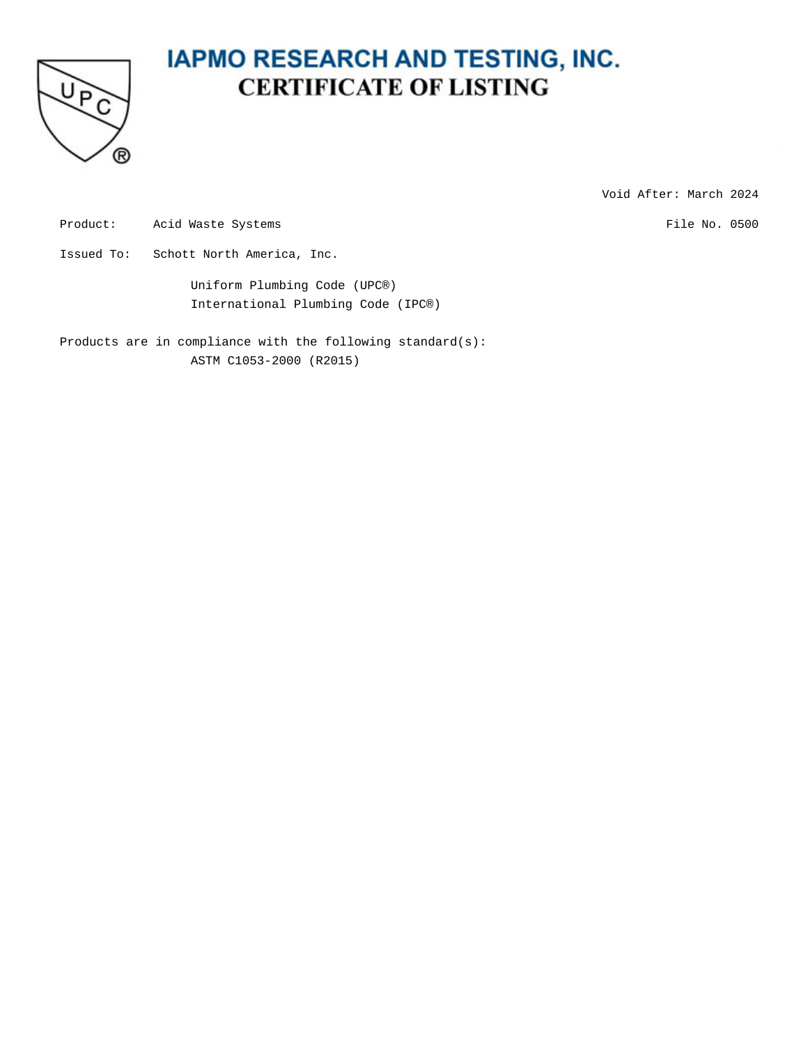

Void After: March 2024

Product: Acid Waste Systems **File No. 0500** 

Issued To: Schott North America, Inc.

Uniform Plumbing Code (UPC®) International Plumbing Code (IPC®)

Products are in compliance with the following standard(s): ASTM C1053-2000 (R2015)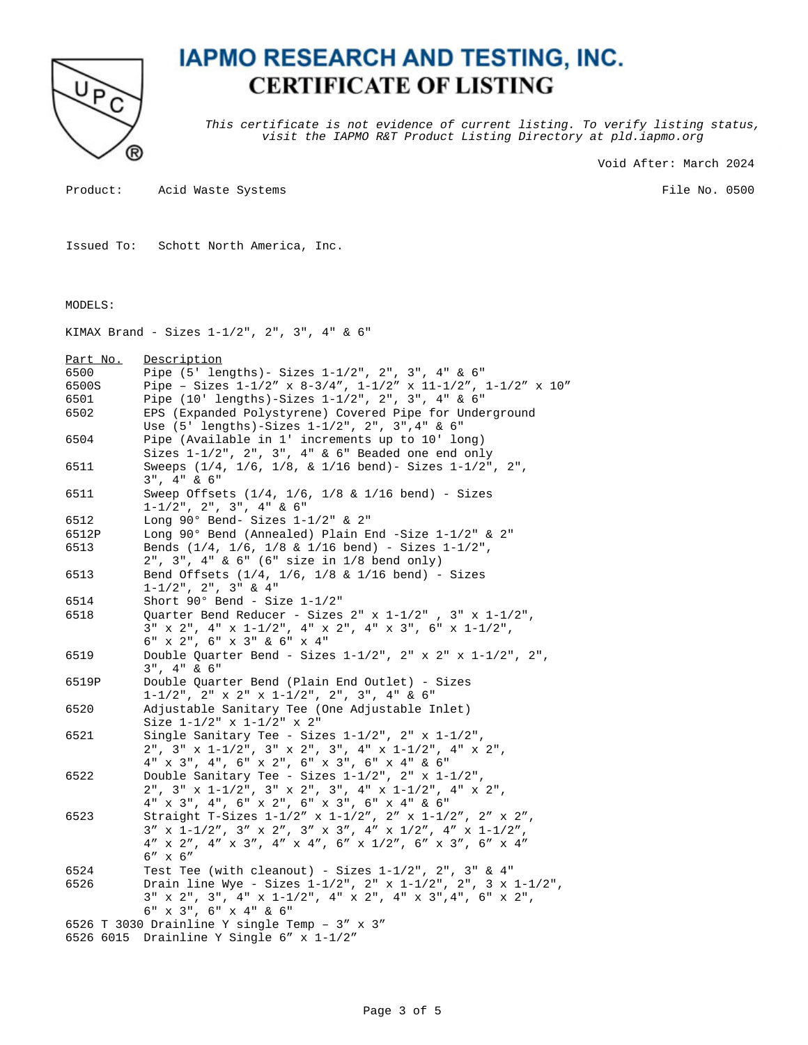

This certificate is not evidence of current listing. To verify listing status, visit the IAPMO R&T Product Listing Directory at pld.iapmo.org

Void After: March 2024

Product: Acid Waste Systems

File No. 0500

Issued To: Schott North America, Inc.

#### MODELS:

KIMAX Brand - Sizes 1-1/2", 2", 3", 4" & 6"

| Part No.  | Description                                                                                             |
|-----------|---------------------------------------------------------------------------------------------------------|
| 6500      | Pipe (5' lengths) - Sizes 1-1/2", 2", 3", 4" & 6"                                                       |
| 6500S     | Pipe - Sizes $1-1/2''$ x $8-3/4''$ , $1-1/2''$ x $11-1/2''$ , $1-1/2''$ x $10''$                        |
| 6501      | Pipe (10' lengths)-Sizes 1-1/2", 2", 3", 4" & 6"                                                        |
| 6502      | EPS (Expanded Polystyrene) Covered Pipe for Underground                                                 |
|           | Use (5' lengths)-Sizes 1-1/2", 2", 3", 4" & 6"                                                          |
| 6504      | Pipe (Available in 1' increments up to 10' long)                                                        |
|           | Sizes $1-1/2$ ", $2$ ", $3$ ", $4$ " & $6$ " Beaded one end only                                        |
| 6511      | Sweeps (1/4, 1/6, 1/8, & 1/16 bend) - Sizes 1-1/2", 2",                                                 |
|           | $3"$ , $4"$ & $6"$                                                                                      |
| 6511      | Sweep Offsets $(1/4, 1/6, 1/8 \& 1/16 \text{ bend})$ - Sizes                                            |
|           | $1-1/2$ ", 2", 3", 4" & 6"                                                                              |
| 6512      | Long $90^\circ$ Bend- Sizes $1-1/2$ " & $2$ "                                                           |
| 6512P     | Long 90° Bend (Annealed) Plain End -Size $1-1/2$ " & 2"                                                 |
| 6513      | Bends $(1/4, 1/6, 1/8 \& 1/16 \text{ bend})$ - Sizes $1-1/2$ ",                                         |
|           | $2$ ", $3$ ", $4$ " & $6$ " ( $6$ " size in $1/8$ bend only)                                            |
| 6513      | Bend Offsets $(1/4, 1/6, 1/8 \& 1/16 \text{ bend})$ - Sizes                                             |
|           | $1 - 1/2$ ", $2$ ", $3$ " & $4$ "                                                                       |
| 6514      | Short $90^\circ$ Bend - Size $1-1/2$ "                                                                  |
| 6518      | Quarter Bend Reducer - Sizes $2$ " x $1-1/2$ ", $3$ " x $1-1/2$ ",                                      |
|           | $3''$ x $2''$ , $4''$ x $1-1/2''$ , $4''$ x $2''$ , $4''$ x $3''$ , $6''$ x $1-1/2''$ ,                 |
|           | 6" x 2", 6" x 3" & 6" x 4"                                                                              |
| 6519      | Double Quarter Bend - Sizes $1-1/2$ ", $2$ " x $2$ " x $1-1/2$ ", $2$ ",                                |
|           | $3"$ , $4"$ & $6"$                                                                                      |
| 6519P     | Double Quarter Bend (Plain End Outlet) - Sizes                                                          |
|           | $1-1/2$ ", $2$ " x $2$ " x $1-1/2$ ", $2$ ", $3$ ", $4$ " & $6$ "                                       |
| 6520      | Adjustable Sanitary Tee (One Adjustable Inlet)                                                          |
|           | Size $1-1/2$ " x $1-1/2$ " x $2$ "                                                                      |
| 6521      | Single Sanitary Tee - Sizes $1-1/2$ ", $2$ " x $1-1/2$ ",                                               |
|           | $2$ ", $3$ " x $1-1/2$ ", $3$ " x $2$ ", $3$ ", $4$ " x $1-1/2$ ", $4$ " x $2$ ",                       |
|           | 4" x 3", 4", 6" x 2", 6" x 3", 6" x 4" & 6"                                                             |
| 6522      | Double Sanitary Tee - Sizes $1-1/2$ ", $2$ " x $1-1/2$ ",                                               |
|           | $2"$ , $3"$ x $1-1/2"$ , $3"$ x $2"$ , $3"$ , $4"$ x $1-1/2"$ , $4"$ x $2"$ ,                           |
|           | 4" x 3", 4", 6" x 2", 6" x 3", 6" x 4" & 6"                                                             |
| 6523      | Straight T-Sizes 1-1/2" x 1-1/2", 2" x 1-1/2", 2" x 2",                                                 |
|           | $3'' \times 1 - 1/2'', \ 3'' \times 2'', \ 3'' \times 3'', \ 4'' \times 1/2'', \ 4'' \times 1 - 1/2'',$ |
|           | $4''$ x $2''$ , $4''$ x $3''$ , $4''$ x $4''$ , $6''$ x $1/2''$ , $6''$ x $3''$ , $6''$ x $4''$         |
|           | $6'' \times 6''$                                                                                        |
| 6524      | Test Tee (with cleanout) - Sizes $1-1/2$ ", $2$ ", $3$ " & $4$ "                                        |
| 6526      | Drain line Wye - Sizes $1-1/2$ ", $2$ " x $1-1/2$ ", $2$ ", $3 \times 1-1/2$ ",                         |
|           | $3''$ x $2''$ , $3''$ , $4''$ x $1-1/2''$ , $4''$ x $2''$ , $4''$ x $3''$ , $4''$ , $6''$ x $2''$ ,     |
|           | 6" x 3", 6" x 4" & 6"                                                                                   |
|           | 6526 T 3030 Drainline Y single Temp - $3''$ x $3''$                                                     |
| 6526 6015 | Drainline Y Single 6" x 1-1/2"                                                                          |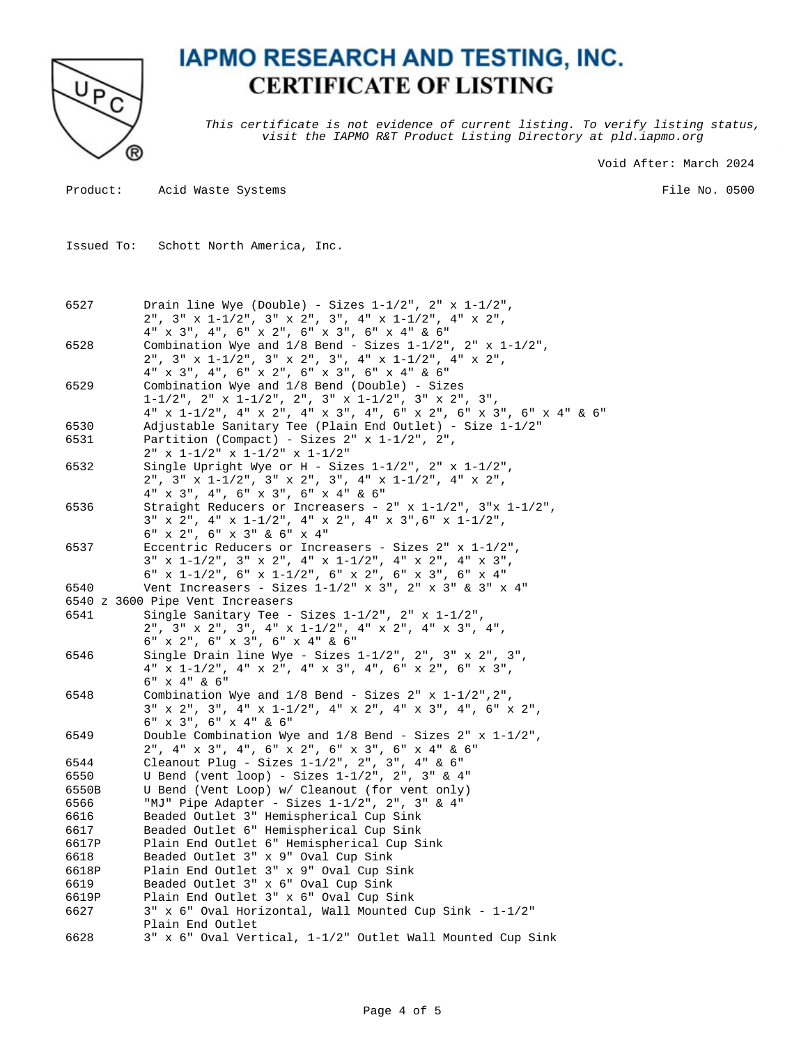

This certificate is not evidence of current listing. To verify listing status, visit the IAPMO R&T Product Listing Directory at pld.iapmo.org

Void After: March 2024

Product: Acid Waste Systems

File No. 0500

Issued To: Schott North America, Inc.

| 6527  | Drain line Wye (Double) - Sizes $1-1/2$ ", $2$ " x $1-1/2$ ",<br>2", 3" x 1-1/2", 3" x 2", 3", 4" x 1-1/2", 4" x 2",                                                                                                                                                                                                                 |
|-------|--------------------------------------------------------------------------------------------------------------------------------------------------------------------------------------------------------------------------------------------------------------------------------------------------------------------------------------|
|       | 4" x 3", 4", 6" x 2", 6" x 3", 6" x 4" & 6"                                                                                                                                                                                                                                                                                          |
| 6528  | Combination Wye and $1/8$ Bend - Sizes $1-1/2$ ", $2$ " x $1-1/2$ ",                                                                                                                                                                                                                                                                 |
|       | 2", 3" x 1-1/2", 3" x 2", 3", 4" x 1-1/2", 4" x 2",<br>4" x 3", 4", 6" x 2", 6" x 3", 6" x 4" & 6"                                                                                                                                                                                                                                   |
| 6529  | Combination Wye and 1/8 Bend (Double) - Sizes                                                                                                                                                                                                                                                                                        |
|       | $1-1/2$ ", $2$ " x $1-1/2$ ", $2$ ", $3$ " x $1-1/2$ ", $3$ " x $2$ ", $3$ ",                                                                                                                                                                                                                                                        |
|       | 4" x 1-1/2", 4" x 2", 4" x 3", 4", 6" x 2", 6" x 3", 6" x 4" & 6"                                                                                                                                                                                                                                                                    |
| 6530  | Adjustable Sanitary Tee (Plain End Outlet) - Size 1-1/2"                                                                                                                                                                                                                                                                             |
| 6531  | Partition (Compact) - Sizes $2" x 1-1/2", 2",$                                                                                                                                                                                                                                                                                       |
|       | $2" x 1-1/2" x 1-1/2" x 1-1/2"$                                                                                                                                                                                                                                                                                                      |
| 6532  | Single Upright Wye or $H - Sizes 1-1/2$ ", $2" x 1-1/2"$ ,                                                                                                                                                                                                                                                                           |
|       | $2"$ , $3"$ x $1-1/2"$ , $3"$ x $2"$ , $3"$ , $4"$ x $1-1/2"$ , $4"$ x $2"$ ,                                                                                                                                                                                                                                                        |
|       | 4" x 3", 4", 6" x 3", 6" x 4" & 6"                                                                                                                                                                                                                                                                                                   |
| 6536  | Straight Reducers or Increasers - $2" x 1-1/2", 3" x 1-1/2",$                                                                                                                                                                                                                                                                        |
|       | $3" \hspace{1.5mm} \times \hspace{1.5mm} 2", \hspace{1.5mm} 4" \hspace{1.5mm} \times \hspace{1.5mm} 1 - 1/2", \hspace{1.5mm} 4" \hspace{1.5mm} \times \hspace{1.5mm} 2", \hspace{1.5mm} 4" \hspace{1.5mm} \times \hspace{1.5mm} 3", 6" \hspace{1.5mm} \times \hspace{1.5mm} 1 - 1/2",$                                               |
|       | $6"$ x 2", $6"$ x 3" & $6"$ x 4"                                                                                                                                                                                                                                                                                                     |
| 6537  | Eccentric Reducers or Increasers - Sizes $2" x 1-1/2",$                                                                                                                                                                                                                                                                              |
|       | $3" \times 1-1/2", 3" \times 2", 4" \times 1-1/2", 4" \times 2", 4" \times 3",$                                                                                                                                                                                                                                                      |
|       | 6" x 1-1/2", 6" x 1-1/2", 6" x 2", 6" x 3", 6" x 4"                                                                                                                                                                                                                                                                                  |
| 6540  | Vent Increasers - Sizes $1-1/2$ " x 3", 2" x 3" & 3" x 4"                                                                                                                                                                                                                                                                            |
|       | 6540 z 3600 Pipe Vent Increasers                                                                                                                                                                                                                                                                                                     |
| 6541  | Single Sanitary Tee - Sizes 1-1/2", 2" x 1-1/2",                                                                                                                                                                                                                                                                                     |
|       | $2$ ", $3$ " x $2$ ", $3$ ", $4$ " x $1-1/2$ ", $4$ " x $2$ ", $4$ " x $3$ ", $4$ ",                                                                                                                                                                                                                                                 |
|       | $6"$ x 2", $6"$ x 3", $6"$ x 4" & $6"$                                                                                                                                                                                                                                                                                               |
| 6546  | Single Drain line Wye - Sizes $1-1/2$ ", $2$ ", $3$ " x $2$ ", $3$ ",                                                                                                                                                                                                                                                                |
|       | $4" \hspace{1.5em} \texttt{x} \hspace{1.5em} 1-1/2", \hspace{1.5em} 4" \hspace{1.5em} \texttt{x} \hspace{1.5em} 2", \hspace{1.5em} 4" \hspace{1.5em} \texttt{x} \hspace{1.5em} 3", \hspace{1.5em} 4", \hspace{1.5em} 6" \hspace{1.5em} \texttt{x} \hspace{1.5em} 2", \hspace{1.5em} 6" \hspace{1.5em} \texttt{x} \hspace{1.5em} 3",$ |
| 6548  | 6" x 4" & 6"<br>Combination Wye and $1/8$ Bend - Sizes $2" x 1-1/2", 2",$                                                                                                                                                                                                                                                            |
|       | $3''$ x 2", 3", 4" x 1-1/2", 4" x 2", 4" x 3", 4", 6" x 2",                                                                                                                                                                                                                                                                          |
|       | 6" x 3", 6" x 4" & 6"                                                                                                                                                                                                                                                                                                                |
| 6549  | Double Combination Wye and $1/8$ Bend - Sizes $2'' \times 1 - 1/2''$ ,                                                                                                                                                                                                                                                               |
|       | 2", 4" x 3", 4", 6" x 2", 6" x 3", 6" x 4" & 6"                                                                                                                                                                                                                                                                                      |
| 6544  | Cleanout Plug - Sizes 1-1/2", 2", 3", 4" & 6"                                                                                                                                                                                                                                                                                        |
| 6550  | U Bend (vent loop) - Sizes $1-1/2$ ", $2$ ", $3$ " & $4$ "                                                                                                                                                                                                                                                                           |
| 6550B | U Bend (Vent Loop) w/ Cleanout (for vent only)                                                                                                                                                                                                                                                                                       |
| 6566  | "MJ" Pipe Adapter - Sizes 1-1/2", 2", 3" & 4"                                                                                                                                                                                                                                                                                        |
| 6616  | Beaded Outlet 3" Hemispherical Cup Sink                                                                                                                                                                                                                                                                                              |
| 6617  | Beaded Outlet 6" Hemispherical Cup Sink                                                                                                                                                                                                                                                                                              |
| 6617P | Plain End Outlet 6" Hemispherical Cup Sink                                                                                                                                                                                                                                                                                           |
| 6618  | Beaded Outlet 3" x 9" Oval Cup Sink                                                                                                                                                                                                                                                                                                  |
| 6618P | Plain End Outlet 3" x 9" Oval Cup Sink                                                                                                                                                                                                                                                                                               |
| 6619  | Beaded Outlet 3" x 6" Oval Cup Sink                                                                                                                                                                                                                                                                                                  |
| 6619P | Plain End Outlet 3" x 6" Oval Cup Sink                                                                                                                                                                                                                                                                                               |
| 6627  | 3" x 6" Oval Horizontal, Wall Mounted Cup Sink - 1-1/2"                                                                                                                                                                                                                                                                              |
|       | Plain End Outlet                                                                                                                                                                                                                                                                                                                     |
| 6628  | 3" x 6" Oval Vertical, 1-1/2" Outlet Wall Mounted Cup Sink                                                                                                                                                                                                                                                                           |